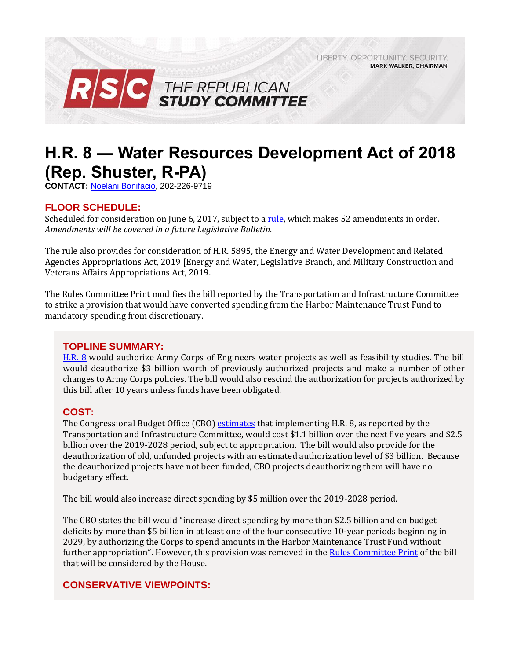LIBERTY. OPPORTUNITY. SECURITY. **MARK WALKER, CHAIRMAN** 



# **H.R. 8 — Water Resources Development Act of 2018 (Rep. Shuster, R-PA)**

**CONTACT:** [Noelani Bonifacio,](mailto:Noelani.Bonifacio@mail.house.gov) 202-226-9719

# **FLOOR SCHEDULE:**

Scheduled for consideration on June 6, 2017, subject to [a rule,](https://rules.house.gov/sites/republicans.rules.house.gov/files/Rule_SAHR3249HR8HR5895.pdf) which makes 52 amendments in order. *Amendments will be covered in a future Legislative Bulletin.* 

The rule also provides for consideration of H.R. 5895, the Energy and Water Development and Related Agencies Appropriations Act, 2019 [Energy and Water, Legislative Branch, and Military Construction and Veterans Affairs Appropriations Act, 2019.

The Rules Committee Print modifies the bill reported by the Transportation and Infrastructure Committee to strike a provision that would have converted spending from the Harbor Maintenance Trust Fund to mandatory spending from discretionary.

# **TOPLINE SUMMARY:**

[H.R. 8](https://docs.house.gov/billsthisweek/20180604/BILLS-115HR8-RCP115-72.pdf) would authorize Army Corps of Engineers water projects as well as feasibility studies. The bill would deauthorize \$3 billion worth of previously authorized projects and make a number of other changes to Army Corps policies. The bill would also rescind the authorization for projects authorized by this bill after 10 years unless funds have been obligated.

# **COST:**

The Congressional Budget Office (CBO) [estimates](https://www.cbo.gov/system/files/115th-congress-2017-2018/costestimate/hr8.pdf) that implementing H.R. 8, as reported by the Transportation and Infrastructure Committee, would cost \$1.1 billion over the next five years and \$2.5 billion over the 2019-2028 period, subject to appropriation. The bill would also provide for the deauthorization of old, unfunded projects with an estimated authorization level of \$3 billion. Because the deauthorized projects have not been funded, CBO projects deauthorizing them will have no budgetary effect.

The bill would also increase direct spending by \$5 million over the 2019-2028 period.

The CBO states the bill would "increase direct spending by more than \$2.5 billion and on budget deficits by more than \$5 billion in at least one of the four consecutive 10-year periods beginning in 2029, by authorizing the Corps to spend amounts in the Harbor Maintenance Trust Fund without further appropriation". However, this provision was removed in the [Rules Committee Print](http://docs.house.gov/billsthisweek/20180604/BILLS-115HR8-RCP115-72.pdf) of the bill that will be considered by the House.

# **CONSERVATIVE VIEWPOINTS:**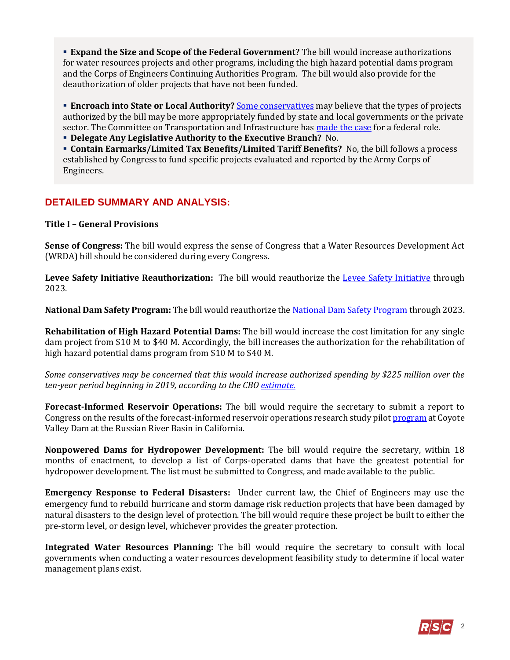**Expand the Size and Scope of the Federal Government?** The bill would increase authorizations for water resources projects and other programs, including the high hazard potential dams program and the Corps of Engineers Continuing Authorities Program. The bill would also provide for the deauthorization of older projects that have not been funded.

**Encroach into State or Local Authority?** [Some conservatives](https://millercenter.org/the-presidency/presidential-speeches/march-3-1817-veto-message-internal-improvements-bill) may believe that the types of projects authorized by the bill may be more appropriately funded by state and local governments or the private sector. The Committee on Transportation and Infrastructure has [made the case](https://transportation.house.gov/uploadedfiles/wrrdabookletpostconflowres.pdf#page=5) for a federal role.

**Delegate Any Legislative Authority to the Executive Branch?** No.

 **Contain Earmarks/Limited Tax Benefits/Limited Tariff Benefits?** No, the bill follows a process established by Congress to fund specific projects evaluated and reported by the Army Corps of Engineers.

# **DETAILED SUMMARY AND ANALYSIS:**

# **Title I – General Provisions**

**Sense of Congress:** The bill would express the sense of Congress that a Water Resources Development Act (WRDA) bill should be considered during every Congress.

**Levee Safety Initiative Reauthorization:** The bill would reauthorize the [Levee Safety Initiative](https://www.usace.army.mil/Missions/Civil-Works/Levee-Safety-Program/) through 2023.

**National Dam Safety Program:** The bill would reauthorize th[e National Dam Safety Program](https://www.fema.gov/national-dam-safety-program) through 2023.

**Rehabilitation of High Hazard Potential Dams:** The bill would increase the cost limitation for any single dam project from \$10 M to \$40 M. Accordingly, the bill increases the authorization for the rehabilitation of high hazard potential dams program from \$10 M to \$40 M.

*Some conservatives may be concerned that this would increase authorized spending by \$225 million over the ten-year period beginning in 2019, according to the CBO [estimate.](https://www.cbo.gov/system/files/115th-congress-2017-2018/costestimate/hr8.pdf)*

**Forecast-Informed Reservoir Operations:** The bill would require the secretary to submit a report to Congress on the results of the forecast-informed reservoir operations research study pilo[t program](http://www.nws.noaa.gov/os/water/resources/IWRSS_RR_PartnerForumReport_Jan1116.pdf) at Coyote Valley Dam at the Russian River Basin in California.

**Nonpowered Dams for Hydropower Development:** The bill would require the secretary, within 18 months of enactment, to develop a list of Corps-operated dams that have the greatest potential for hydropower development. The list must be submitted to Congress, and made available to the public.

**Emergency Response to Federal Disasters:** Under current law, the Chief of Engineers may use the emergency fund to rebuild hurricane and storm damage risk reduction projects that have been damaged by natural disasters to the design level of protection. The bill would require these project be built to either the pre-storm level, or design level, whichever provides the greater protection.

**Integrated Water Resources Planning:** The bill would require the secretary to consult with local governments when conducting a water resources development feasibility study to determine if local water management plans exist.

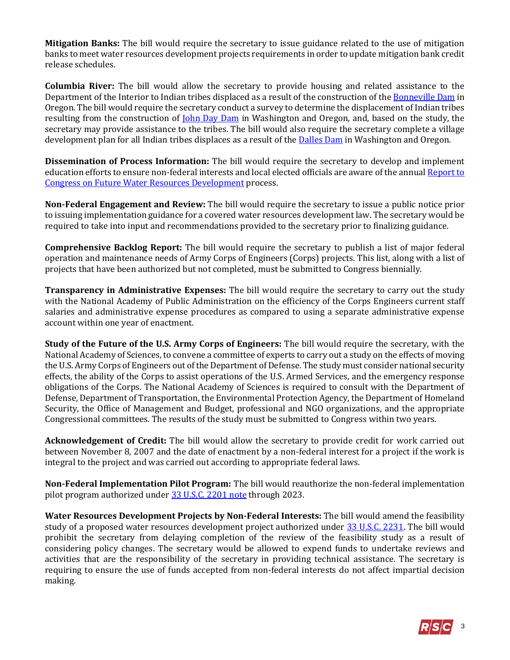**Mitigation Banks:** The bill would require the secretary to issue guidance related to the use of mitigation banks to meet water resources development projects requirements in order to update mitigation bank credit release schedules.

**Columbia River:** The bill would allow the secretary to provide housing and related assistance to the Department of the Interior to Indian tribes displaced as a result of the construction of th[e Bonneville Dam](http://www.nwp.usace.army.mil/bonneville/) in Oregon. The bill would require the secretary conduct a survey to determine the displacement of Indian tribes resulting from the construction of <u>John Day Dam</u> in Washington and Oregon, and, based on the study, the secretary may provide assistance to the tribes. The bill would also require the secretary complete a village development plan for all Indian tribes displaces as a result of the [Dalles Dam](http://www.nwp.usace.army.mil/The-Dalles/) in Washington and Oregon.

**Dissemination of Process Information:** The bill would require the secretary to develop and implement education efforts to ensure non-federal interests and local elected officials are aware of the annual [Report to](https://www.usace.army.mil/Media/Fact-Sheets/Fact-Sheet-Article-View/Article/754841/report-to-congress-on-future-water-resources-development/)  Congress [on Future Water Resources Development](https://www.usace.army.mil/Media/Fact-Sheets/Fact-Sheet-Article-View/Article/754841/report-to-congress-on-future-water-resources-development/) process.

**Non-Federal Engagement and Review:** The bill would require the secretary to issue a public notice prior to issuing implementation guidance for a covered water resources development law. The secretary would be required to take into input and recommendations provided to the secretary prior to finalizing guidance.

**Comprehensive Backlog Report:** The bill would require the secretary to publish a list of major federal operation and maintenance needs of Army Corps of Engineers (Corps) projects. This list, along with a list of projects that have been authorized but not completed, must be submitted to Congress biennially.

**Transparency in Administrative Expenses:** The bill would require the secretary to carry out the study with the National Academy of Public Administration on the efficiency of the Corps Engineers current staff salaries and administrative expense procedures as compared to using a separate administrative expense account within one year of enactment.

**Study of the Future of the U.S. Army Corps of Engineers:** The bill would require the secretary, with the National Academy of Sciences, to convene a committee of experts to carry out a study on the effects of moving the U.S. Army Corps of Engineers out of the Department of Defense. The study must consider national security effects, the ability of the Corps to assist operations of the U.S. Armed Services, and the emergency response obligations of the Corps. The National Academy of Sciences is required to consult with the Department of Defense, Department of Transportation, the Environmental Protection Agency, the Department of Homeland Security, the Office of Management and Budget, professional and NGO organizations, and the appropriate Congressional committees. The results of the study must be submitted to Congress within two years.

**Acknowledgement of Credit:** The bill would allow the secretary to provide credit for work carried out between November 8, 2007 and the date of enactment by a non-federal interest for a project if the work is integral to the project and was carried out according to appropriate federal laws.

**Non-Federal Implementation Pilot Program:** The bill would reauthorize the non-federal implementation pilot program authorized under [33 U.S.C. 2201 note](http://uscode.house.gov/view.xhtml?req=(title:33%20section:2201%20note%20edition:prelim)%20OR%20(granuleid:USC-prelim-title33-section2201%20note)&f=treesort&edition=prelim&num=0&jumpTo=true#substructure-location_b) through 2023.

**Water Resources Development Projects by Non-Federal Interests:** The bill would amend the feasibility study of a proposed water resources development project authorized under [33 U.S.C. 2231.](http://uscode.house.gov/view.xhtml?req=(title:33%20section:2231%20edition:prelim)%20OR%20(granuleid:USC-prelim-title33-section2231)&f=treesort&edition=prelim&num=0&jumpTo=true) The bill would prohibit the secretary from delaying completion of the review of the feasibility study as a result of considering policy changes. The secretary would be allowed to expend funds to undertake reviews and activities that are the responsibility of the secretary in providing technical assistance. The secretary is requiring to ensure the use of funds accepted from non-federal interests do not affect impartial decision making.

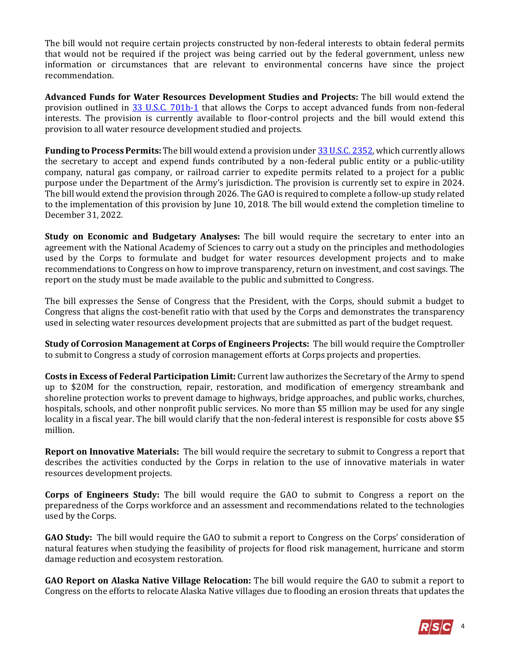The bill would not require certain projects constructed by non-federal interests to obtain federal permits that would not be required if the project was being carried out by the federal government, unless new information or circumstances that are relevant to environmental concerns have since the project recommendation.

**Advanced Funds for Water Resources Development Studies and Projects:** The bill would extend the provision outlined in [33 U.S.C. 701h-1](http://uscode.house.gov/view.xhtml?hl=false&edition=prelim&req=granuleid%3AUSC-prelim-title33-section701h-1&f=treesort&num=0&saved=%7CKHRpdGxlOjMzIHNlY3Rpb246NzAxaCBlZGl0aW9uOnByZWxpbSkgT1IgKGdyYW51bGVpZDpVU0MtcHJlbGltLXRpdGxlMzMtc2VjdGlvbjcwMWgp%7CdHJlZXNvcnQ%3D%7C%7C0%7Cfalse%7Cprelim) that allows the Corps to accept advanced funds from non-federal interests. The provision is currently available to floor-control projects and the bill would extend this provision to all water resource development studied and projects.

**Funding to Process Permits:** The bill would extend a provision unde[r 33 U.S.C. 2352,](http://uscode.house.gov/view.xhtml?req=(title:33%20section:2352%20edition:prelim)%20OR%20(granuleid:USC-prelim-title33-section2352)&f=treesort&edition=prelim&num=0&jumpTo=true) which currently allows the secretary to accept and expend funds contributed by a non-federal public entity or a public-utility company, natural gas company, or railroad carrier to expedite permits related to a project for a public purpose under the Department of the Army's jurisdiction. The provision is currently set to expire in 2024. The bill would extend the provision through 2026. The GAO is required to complete a follow-up study related to the implementation of this provision by June 10, 2018. The bill would extend the completion timeline to December 31, 2022.

**Study on Economic and Budgetary Analyses:** The bill would require the secretary to enter into an agreement with the National Academy of Sciences to carry out a study on the principles and methodologies used by the Corps to formulate and budget for water resources development projects and to make recommendations to Congress on how to improve transparency, return on investment, and cost savings. The report on the study must be made available to the public and submitted to Congress.

The bill expresses the Sense of Congress that the President, with the Corps, should submit a budget to Congress that aligns the cost-benefit ratio with that used by the Corps and demonstrates the transparency used in selecting water resources development projects that are submitted as part of the budget request.

**Study of Corrosion Management at Corps of Engineers Projects:** The bill would require the Comptroller to submit to Congress a study of corrosion management efforts at Corps projects and properties.

**Costs in Excess of Federal Participation Limit:** Current law authorizes the Secretary of the Army to spend up to \$20M for the construction, repair, restoration, and modification of emergency streambank and shoreline protection works to prevent damage to highways, bridge approaches, and public works, churches, hospitals, schools, and other nonprofit public services. No more than \$5 million may be used for any single locality in a fiscal year. The bill would clarify that the non-federal interest is responsible for costs above \$5 million.

**Report on Innovative Materials:** The bill would require the secretary to submit to Congress a report that describes the activities conducted by the Corps in relation to the use of innovative materials in water resources development projects.

**Corps of Engineers Study:** The bill would require the GAO to submit to Congress a report on the preparedness of the Corps workforce and an assessment and recommendations related to the technologies used by the Corps.

**GAO Study:** The bill would require the GAO to submit a report to Congress on the Corps' consideration of natural features when studying the feasibility of projects for flood risk management, hurricane and storm damage reduction and ecosystem restoration.

**GAO Report on Alaska Native Village Relocation:** The bill would require the GAO to submit a report to Congress on the efforts to relocate Alaska Native villages due to flooding an erosion threats that updates the

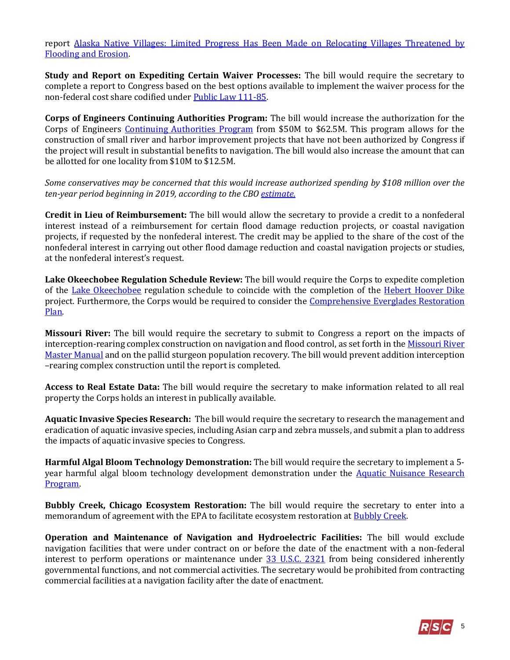report [Alaska Native Villages: Limited Progress Has Been Made on Relocating Villages Threatened by](https://www.gao.gov/new.items/d09551.pdf)  [Flooding and Erosion.](https://www.gao.gov/new.items/d09551.pdf)

**Study and Report on Expediting Certain Waiver Processes:** The bill would require the secretary to complete a report to Congress based on the best options available to implement the waiver process for the non-federal cost share codified under [Public Law 111-85.](https://www.gpo.gov/fdsys/pkg/PLAW-111publ85/pdf/PLAW-111publ85.pdf)

**Corps of Engineers Continuing Authorities Program:** The bill would increase the authorization for the Corps of Engineers [Continuing Authorities Program](http://www.nae.usace.army.mil/Missions/Public-Services/Continuing-Authorities-Program/) from \$50M to \$62.5M. This program allows for the construction of small river and harbor improvement projects that have not been authorized by Congress if the project will result in substantial benefits to navigation. The bill would also increase the amount that can be allotted for one locality from \$10M to \$12.5M.

*Some conservatives may be concerned that this would increase authorized spending by \$108 million over the ten-year period beginning in 2019, according to the CBO [estimate.](https://www.cbo.gov/system/files/115th-congress-2017-2018/costestimate/hr8.pdf)*

**Credit in Lieu of Reimbursement:** The bill would allow the secretary to provide a credit to a nonfederal interest instead of a reimbursement for certain flood damage reduction projects, or coastal navigation projects, if requested by the nonfederal interest. The credit may be applied to the share of the cost of the nonfederal interest in carrying out other flood damage reduction and coastal navigation projects or studies, at the nonfederal interest's request.

**Lake Okeechobee Regulation Schedule Review:** The bill would require the Corps to expedite completion of the [Lake Okeechobee](http://www.saj.usace.army.mil/Missions/Civil-Works/Lake-Okeechobee/) regulation schedule to coincide with the completion of the [Hebert Hoover Dike](http://www.saj.usace.army.mil/Missions/Civil-Works/Lake-Okeechobee/Herbert-Hoover-Dike/) project. Furthermore, the Corps would be required to consider the Comprehensive Everglades Restoration [Plan.](https://www.nps.gov/ever/learn/nature/cerp.htm)

**Missouri River:** The bill would require the secretary to submit to Congress a report on the impacts of interception-rearing complex construction on navigation and flood control, as set forth in the Missouri River [Master Manual](http://www.nwd-mr.usace.army.mil/rcc/reports/mmanual/MasterManual.pdf) and on the pallid sturgeon population recovery. The bill would prevent addition interception –rearing complex construction until the report is completed.

**Access to Real Estate Data:** The bill would require the secretary to make information related to all real property the Corps holds an interest in publically available.

**Aquatic Invasive Species Research:** The bill would require the secretary to research the management and eradication of aquatic invasive species, including Asian carp and zebra mussels, and submit a plan to address the impacts of aquatic invasive species to Congress.

**Harmful Algal Bloom Technology Demonstration:** The bill would require the secretary to implement a 5 year harmful algal bloom technology development demonstration under the [Aquatic Nuisance Research](https://www.usace.army.mil/Missions/Environmental/Invasive-Species-Management/)  [Program.](https://www.usace.army.mil/Missions/Environmental/Invasive-Species-Management/)

**Bubbly Creek, Chicago Ecosystem Restoration:** The bill would require the secretary to enter into a memorandum of agreement with the EPA to facilitate ecosystem restoration at **Bubbly Creek**.

**Operation and Maintenance of Navigation and Hydroelectric Facilities:** The bill would exclude navigation facilities that were under contract on or before the date of the enactment with a non-federal interest to perform operations or maintenance under [33 U.S.C. 2321](http://uscode.house.gov/view.xhtml?req=(title:33%20section:2321%20edition:prelim)%20OR%20(granuleid:USC-prelim-title33-section2321)&f=treesort&edition=prelim&num=0&jumpTo=true) from being considered inherently governmental functions, and not commercial activities. The secretary would be prohibited from contracting commercial facilities at a navigation facility after the date of enactment.

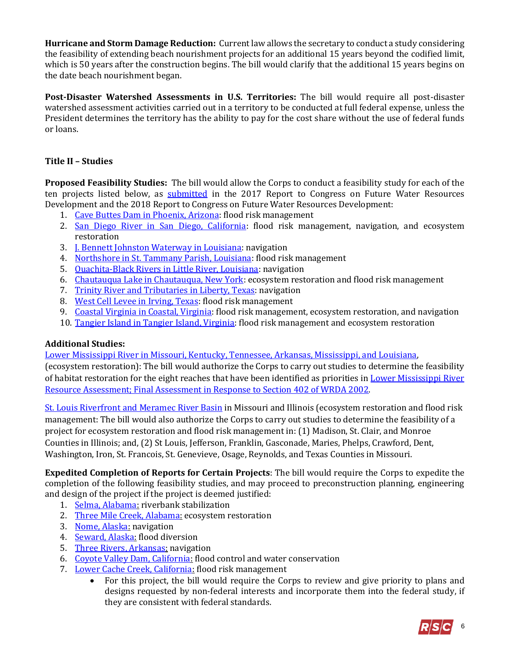**Hurricane and Storm Damage Reduction:** Current law allows the secretary to conduct a study considering the feasibility of extending beach nourishment projects for an additional 15 years beyond the codified limit, which is 50 years after the construction begins. The bill would clarify that the additional 15 years begins on the date beach nourishment began.

**Post-Disaster Watershed Assessments in U.S. Territories:** The bill would require all post-disaster watershed assessment activities carried out in a territory to be conducted at full federal expense, unless the President determines the territory has the ability to pay for the cost share without the use of federal funds or loans.

# **Title II – Studies**

**Proposed Feasibility Studies:** The bill would allow the Corps to conduct a feasibility study for each of the ten projects listed below, as [submitted](https://www.usace.army.mil/Missions/Civil-Works/Project-Planning/Legislative-Links/wrrda2014/wrrda2014_proposals/) in the 2017 Report to Congress on Future Water Resources Development and the 2018 Report to Congress on Future Water Resources Development:

- 1. [Cave Buttes Dam in Phoenix, Arizona:](https://www.maricopa.gov/DocumentCenter/View/12589/Flood-Facts-CRS-Newsletter) flood risk management
- 2. [San Diego River in San Diego, California:](http://sandiegoriver.org/conceptual_plan.html) flood risk management, navigation, and ecosystem restoration
- 3. **J. Bennett Johnston Waterway in Louisiana**: navigation
- 4. [Northshore in St. Tammany Parish, Louisiana:](http://www.stpgov.org/residents/news/item/3407-coastal-protection-project-moves-forward-as-st-tammany-parish-government-and-the-levee-board-selects-engineering-firm) flood risk management
- 5. [Ouachita-Black Rivers in Little River, Louisiana:](http://www.mvk.usace.army.mil/Missions/Recreation/Ouachita-Black-River/) navigation
- 6. [Chautauqua Lake in Chautauqua, New York:](http://chqlake.org/2018/04/chautauqua-lake-a-great-lake-seeking-a-greater-future/) ecosystem restoration and flood risk management
- 7. [Trinity River and Tributaries in Liberty, Texas:](https://www.mysanantonio.com/neighborhood/cleveland/news/article/Liberty-County-officials-keeping-eye-on-Trinity-12795635.php) navigation
- 8. [West Cell Levee in Irving, Texas:](http://www.swf.usace.army.mil/Missions/Water-Sustainment/Dallas-Floodway-Extension/) flood risk management
- 9. [Coastal Virginia in Coastal, Virginia:](http://coastalresilience.org/project/virginia-eastern-shore/) flood risk management, ecosystem restoration, and navigation
- 10. [Tangier Island in Tangier Island, Virginia:](http://www.dailypress.com/news/science/dp-nws-water-infrastructure-bill-20180523-story.html) flood risk management and ecosystem restoration

# **Additional Studies:**

[Lower Mississippi River in Missouri, Kentucky, Tennessee, Arkansas, Mississippi, and Louisiana,](https://www.nature.org/newsfeatures/pressreleases/bipartisan-water-resources-bill-introduced-in-senate-includes-ecosystem-rest.xml)

(ecosystem restoration): The bill would authorize the Corps to carry out studies to determine the feasibility of habitat restoration for the eight reaches that have been identified as priorities in [Lower Mississippi River](file:///C:/Users/mdickerson/AppData/Local/Microsoft/Windows/INetCache/Content.Outlook/4VVKUYRD/lower%20mississippi%20river%20resource%20assessment,%20final%20assessment%20in%20response%20to%20section%20402%20of%20wrda%202002)  Resource Assessment; Final Assessment [in Response to Section 402 of WRDA 2002.](file:///C:/Users/mdickerson/AppData/Local/Microsoft/Windows/INetCache/Content.Outlook/4VVKUYRD/lower%20mississippi%20river%20resource%20assessment,%20final%20assessment%20in%20response%20to%20section%20402%20of%20wrda%202002)

[St. Louis Riverfront and Meramec River Basin](http://www.mvs.usace.army.mil/Portals/54/docs/pm/Reports/EA/STLRFMRBER/Appendix%20K%20-%20Real%20Estate%20Plan%20-%20Public%20Review.pdf?ver=2018-05-24-143232-417) in Missouri and Illinois (ecosystem restoration and flood risk management: The bill would also authorize the Corps to carry out studies to determine the feasibility of a project for ecosystem restoration and flood risk management in: (1) Madison, St. Clair, and Monroe Counties in Illinois; and, (2) St Louis, Jefferson, Franklin, Gasconade, Maries, Phelps, Crawford, Dent, Washington, Iron, St. Francois, St. Genevieve, Osage, Reynolds, and Texas Counties in Missouri.

**Expedited Completion of Reports for Certain Projects**: The bill would require the Corps to expedite the completion of the following feasibility studies, and may proceed to preconstruction planning, engineering and design of the project if the project is deemed justified:

- 1. [Selma, Alabama:](https://www.selmatimesjournal.com/2018/01/19/grant-will-fund-new-splash-pad-by-river/) riverbank stabilization
- 2. [Three Mile Creek, Alabama:](https://www.al.com/news/index.ssf/2018/04/mobile_wins_aldot_grant_for_ne.html) ecosystem restoration
- 3. [Nome, Alaska:](http://www.poa.usace.army.mil/Media/News-Releases/Article/1431934/corps-begins-new-feasibility-study-for-port-of-nome/) navigation
- 4. [Seward, Alaska:](http://www.alaska.org/detail/lowell-creek-diversion-tunnel) flood diversion
- 5. [Three Rivers, Arkansas:](http://www.swd.usace.army.mil/Portals/42/docs/FY13%20Three%20Rivers%20Study,%20AR.pdf) navigation
- 6. [Coyote Valley Dam, California:](http://www.spn.usace.army.mil/Missions/Projects-and-Programs/Projects-A-Z/Coyote-Valley-Dam-Lake-Mendocino-CA-O-M-/) flood control and water conservation
- 7. [Lower Cache Creek, California:](http://www.dailydemocrat.com/environment-and-nature/20180324/cache-creek-conservancy-near-woodland-awarded-grant-to-create-new-habitat) flood risk management
	- For this project, the bill would require the Corps to review and give priority to plans and designs requested by non-federal interests and incorporate them into the federal study, if they are consistent with federal standards.

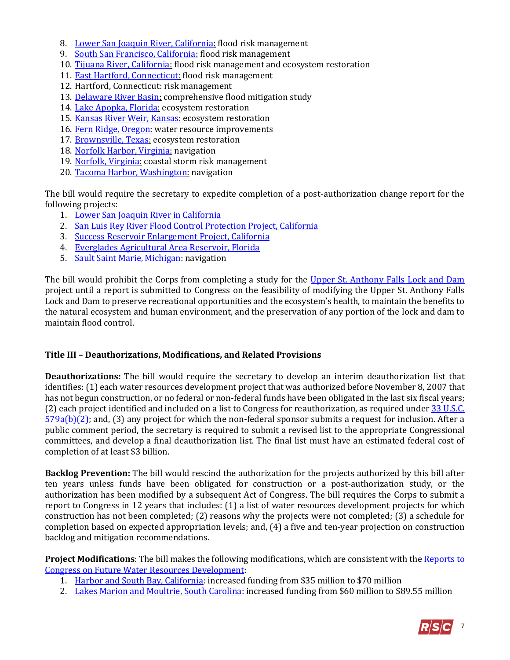- 8. [Lower San Joaquin River, California:](http://www.spk.usace.army.mil/lower_sj_river/%5d) flood risk management
- 9. [South San Francisco, California:](http://www.spn.usace.army.mil/Missions/Projects-and-Programs/Projects-by-Category/Projects-for-Flood-Risk-Management/South-San-Francisco-Bay-Shoreline-Study/) flood risk management
- 10. [Tijuana River, California:](https://www.ibwc.gov/Mission_Operations/TJ_River_FCP.html) flood risk management and ecosystem restoration
- 11. [East Hartford, Connecticut:](http://www.nae.usace.army.mil/Missions/Civil-Works/Flood-Risk-Management/Connecticut/East-Hartford/) flood risk management
- 12. Hartford, Connecticut: risk management
- 13. [Delaware River Basin:](https://centerforlanduse.org/projects/drb/) comprehensive flood mitigation study
- 14. [Lake Apopka, Florida:](https://www.wuft.org/specials/water/lake-apopka-cautionary-tale/) ecosystem restoration
- 15. [Kansas River Weir, Kansas:](http://www.cjonline.com/news/20180430/cleanup-set-for-saturday-in-area-where-kansas-river-weir-project-will-begin-this-summer) ecosystem restoration
- 16. [Fern Ridge, Oregon:](http://www.nwp.usace.army.mil/Locations/Willamette-Valley/Fern-Ridge/) water resource improvements
- 17. [Brownsville, Texas:](http://www.swg.usace.army.mil/Portals/26/docs/Cheryl%20Jaynes/Review%20Plans%20(Study)/Resacas%20Review%20Plan.pdf) ecosystem restoration
- 18. [Norfolk Harbor, Virginia:](http://www.nao.usace.army.mil/About/Projects/Norfolk-Harbor-Channel-Deepening/) navigation
- 19. [Norfolk, Virginia:](http://www.nao.usace.army.mil/NCSRM/) coastal storm risk management
- 20. [Tacoma Harbor, Washington:](http://www.pnwa.net/wp-content/uploads/McKee-Presentation.pdf) navigation

The bill would require the secretary to expedite completion of a post-authorization change report for the following projects:

- 1. [Lower San Joaquin River in California](http://www.spk.usace.army.mil/Portals/12/documents/usace_project_public_notices/LSJRFS_Draft_EIS-EIR_Feb2015.pdf)
- 2. [San Luis Rey River Flood Control Protection Project, California](http://www.sandiegouniontribune.com/communities/north-county/sd-no-river-project-20171030-story.html)
- 3. [Success Reservoir Enlargement Project, California](http://www.spk.usace.army.mil/Portals/12/documents/civil_works/Success/FINAL%20Success%20Lake%20Deviation%20EA.pdf?ver=2017-06-06-182303-820)
- 4. [Everglades Agricultural Area Reservoir, Florida](https://www.sfwmd.gov/our-work/cerp-project-planning/eaa-reservoir)
- 5. [Sault Saint Marie, Michigan:](http://www.lre.usace.army.mil/Media/News-Releases/Article/1262804/maintenance-construction-contract-awarded-for-poe-lock-at-the-soo-locks-in-uppe/) navigation

The bill would prohibit the Corps from completing a study for the [Upper St. Anthony Falls Lock and Dam](http://www.umrswpp.com/) project until a report is submitted to Congress on the feasibility of modifying the Upper St. Anthony Falls Lock and Dam to preserve recreational opportunities and the ecosystem's health, to maintain the benefits to the natural ecosystem and human environment, and the preservation of any portion of the lock and dam to maintain flood control.

# **Title III – Deauthorizations, Modifications, and Related Provisions**

**Deauthorizations:** The bill would require the secretary to develop an interim deauthorization list that identifies: (1) each water resources development project that was authorized before November 8, 2007 that has not begun construction, or no federal or non-federal funds have been obligated in the last six fiscal years; (2) each project identified and included on a list to Congress for reauthorization, as required under [33 U.S.C.](http://uscode.house.gov/view.xhtml?req=(title:33%20section:579a%20edition:prelim)%20OR%20(granuleid:USC-prelim-title33-section579a)&f=treesort&edition=prelim&num=0&jumpTo=true#substructure-location_b_2)   $579a(b)(2)$ ; and, (3) any project for which the non-federal sponsor submits a request for inclusion. After a public comment period, the secretary is required to submit a revised list to the appropriate Congressional committees, and develop a final deauthorization list. The final list must have an estimated federal cost of completion of at least \$3 billion.

**Backlog Prevention:** The bill would rescind the authorization for the projects authorized by this bill after ten years unless funds have been obligated for construction or a post-authorization study, or the authorization has been modified by a subsequent Act of Congress. The bill requires the Corps to submit a report to Congress in 12 years that includes: (1) a list of water resources development projects for which construction has not been completed; (2) reasons why the projects were not completed; (3) a schedule for completion based on expected appropriation levels; and, (4) a five and ten-year projection on construction backlog and mitigation recommendations.

**Project Modifications**: The bill makes the following modifications, which are consistent with the Reports to Congress [on Future Water Resources Development:](https://www.usace.army.mil/Missions/Civil-Works/Project-Planning/Legislative-Links/wrrda2014/wrrda2014_proposals/)

- 1. [Harbor and South Bay, California:](https://www.nbcbayarea.com/news/local/South-Bay-Water-Bills-Could-Increase-Delta-Tunnels-Project-481485681.html) increased funding from \$35 million to \$70 million
- 2. [Lakes Marion and Moultrie, South Carolina:](https://www.postandcourier.com/business/new-federal-law-gives-berkeley-county-industries-new-water-source/article_b9be1682-dd9c-11e6-b364-f3ba6aa7005b.html) increased funding from \$60 million to \$89.55 million

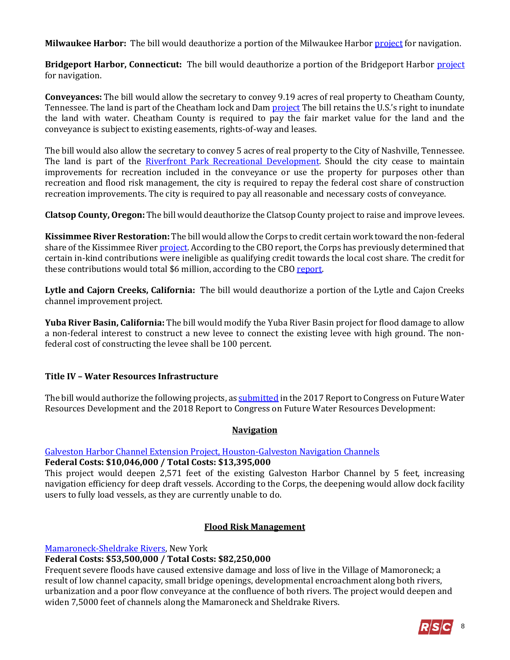**Milwaukee Harbor:** The bill would deauthorize a portion of the Milwaukee Harbor [project](http://www.lre.usace.army.mil/Missions/Operations/Milwaukee-Harbor-WI/) for navigation.

**Bridgeport Harbor, Connecticut:** The bill would deauthorize a portion of the Bridgeport Harbor *project* for navigation.

**Conveyances:** The bill would allow the secretary to convey 9.19 acres of real property to Cheatham County, Tennessee. The land is part of the Cheatham lock and Dam [project](https://www.recreation.gov/recreationalAreaDetails.do?contractCode=NRSO&recAreaId=384) The bill retains the U.S.'s right to inundate the land with water. Cheatham County is required to pay the fair market value for the land and the conveyance is subject to existing easements, rights-of-way and leases.

The bill would also allow the secretary to convey 5 acres of real property to the City of Nashville, Tennessee. The land is part of the [Riverfront Park Recreational Development.](http://www.nashvilleriverfront.org/) Should the city cease to maintain improvements for recreation included in the conveyance or use the property for purposes other than recreation and flood risk management, the city is required to repay the federal cost share of construction recreation improvements. The city is required to pay all reasonable and necessary costs of conveyance.

**Clatsop County, Oregon:** The bill would deauthorize the Clatsop County project to raise and improve levees.

**Kissimmee River Restoration:** The bill would allow the Corps to credit certain work toward the non-federal share of the Kissimmee River [project.](http://www.saj.usace.army.mil/Missions/Environmental/Ecosystem-Restoration/Kissimmee-River-Restoration/) According to the CBO report, the Corps has previously determined that certain in-kind contributions were ineligible as qualifying credit towards the local cost share. The credit for these contributions would total \$6 million, according to the CB[O report.](https://www.cbo.gov/system/files/115th-congress-2017-2018/costestimate/hr8.pdf)

**Lytle and Cajorn Creeks, California:** The bill would deauthorize a portion of the Lytle and Cajon Creeks channel improvement project.

**Yuba River Basin, California:** The bill would modify the Yuba River Basin project for flood damage to allow a non-federal interest to construct a new levee to connect the existing levee with high ground. The nonfederal cost of constructing the levee shall be 100 percent.

# **Title IV – Water Resources Infrastructure**

The bill would authorize the following projects, a[s submitted](https://www.usace.army.mil/Missions/Civil-Works/Project-Planning/Legislative-Links/wrrda2014/wrrda2014_proposals/) in the 2017 Report to Congress on Future Water Resources Development and the 2018 Report to Congress on Future Water Resources Development:

# **Navigation**

[Galveston Harbor Channel Extension Project, Houston-Galveston Navigation Channels](http://www.swg.usace.army.mil/Portals/26/docs/Planning/2%20-%20Draft%20GHCE%20EA%20(March2013).pdf)

#### **Federal Costs: \$10,046,000 / Total Costs: \$13,395,000**

This project would deepen 2,571 feet of the existing Galveston Harbor Channel by 5 feet, increasing navigation efficiency for deep draft vessels. According to the Corps, the deepening would allow dock facility users to fully load vessels, as they are currently unable to do.

# **Flood Risk Management**

[Mamaroneck-Sheldrake Rivers,](http://www.nan.usace.army.mil/Media/Fact-Sheets/Fact-Sheet-Article-View/Article/487646/fact-sheet-mamaroneck-sheldrake-rivers-village-of-mamaroneck-ny/) New York

# **Federal Costs: \$53,500,000 / Total Costs: \$82,250,000**

Frequent severe floods have caused extensive damage and loss of live in the Village of Mamoroneck; a result of low channel capacity, small bridge openings, developmental encroachment along both rivers, urbanization and a poor flow conveyance at the confluence of both rivers. The project would deepen and widen 7,5000 feet of channels along the Mamaroneck and Sheldrake Rivers.

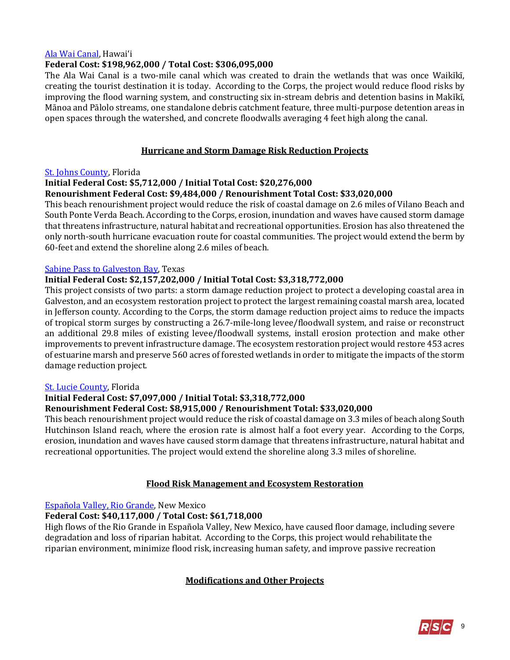#### [Ala Wai Canal](http://www.poh.usace.army.mil/Missions/Civil-Works/Civil-Works-Projects/Ala-Wai-Canal/), Hawai'i

#### **Federal Cost: \$198,962,000 / Total Cost: \$306,095,000**

The Ala Wai Canal is a two-mile canal which was created to drain the wetlands that was once Waikīkī, creating the tourist destination it is today. According to the Corps, the project would reduce flood risks by improving the flood warning system, and constructing six in-stream debris and detention basins in Makīkī, Mānoa and Pālolo streams, one standalone debris catchment feature, three multi-purpose detention areas in open spaces through the watershed, and concrete floodwalls averaging 4 feet high along the canal.

#### **Hurricane and Storm Damage Risk Reduction Projects**

#### [St. Johns County,](http://www.saj.usace.army.mil/Missions/Civil-Works/Shore-Protection/St-Johns/) Florida

#### **Initial Federal Cost: \$5,712,000 / Initial Total Cost: \$20,276,000**

#### **Renourishment Federal Cost: \$9,484,000 / Renourishment Total Cost: \$33,020,000**

This beach renourishment project would reduce the risk of coastal damage on 2.6 miles of Vilano Beach and South Ponte Verda Beach. According to the Corps, erosion, inundation and waves have caused storm damage that threatens infrastructure, natural habitat and recreational opportunities. Erosion has also threatened the only north-south hurricane evacuation route for coastal communities. The project would extend the berm by 60-feet and extend the shoreline along 2.6 miles of beach.

#### [Sabine Pass to Galveston Bay,](http://www.swg.usace.army.mil/Portals/26/docs/Planning/Public%20Notices-Civil%20Works/S2G%20Final%20IFR-EIS/App%20K%20Final%20CAR%20.pdf?ver=2017-05-24-121135-310) Texas

#### **Initial Federal Cost: \$2,157,202,000 / Initial Total Cost: \$3,318,772,000**

This project consists of two parts: a storm damage reduction project to protect a developing coastal area in Galveston, and an ecosystem restoration project to protect the largest remaining coastal marsh area, located in Jefferson county. According to the Corps, the storm damage reduction project aims to reduce the impacts of tropical storm surges by constructing a 26.7-mile-long levee/floodwall system, and raise or reconstruct an additional 29.8 miles of existing levee/floodwall systems, install erosion protection and make other improvements to prevent infrastructure damage. The ecosystem restoration project would restore 453 acres of estuarine marsh and preserve 560 acres of forested wetlands in order to mitigate the impacts of the storm damage reduction project.

#### [St. Lucie County,](http://www.saj.usace.army.mil/Missions/Civil-Works/Shore-Protection/St-Lucie-County/) Florida

# **Initial Federal Cost: \$7,097,000 / Initial Total: \$3,318,772,000**

#### **Renourishment Federal Cost: \$8,915,000 / Renourishment Total: \$33,020,000**

This beach renourishment project would reduce the risk of coastal damage on 3.3 miles of beach along South Hutchinson Island reach, where the erosion rate is almost half a foot every year. According to the Corps, erosion, inundation and waves have caused storm damage that threatens infrastructure, natural habitat and recreational opportunities. The project would extend the shoreline along 3.3 miles of shoreline.

# **Flood Risk Management and Ecosystem Restoration**

[Española Valley, Rio Grande,](http://www.spa.usace.army.mil/Media/Fact-Sheets/Fact-Sheet-Article-View/Article/479098/espaola-valley-rio-grande-and-tributaries/) New Mexico

# **Federal Cost: \$40,117,000 / Total Cost: \$61,718,000**

High flows of the Rio Grande in Española Valley, New Mexico, have caused floor damage, including severe degradation and loss of riparian habitat. According to the Corps, this project would rehabilitate the riparian environment, minimize flood risk, increasing human safety, and improve passive recreation

# **Modifications and Other Projects**